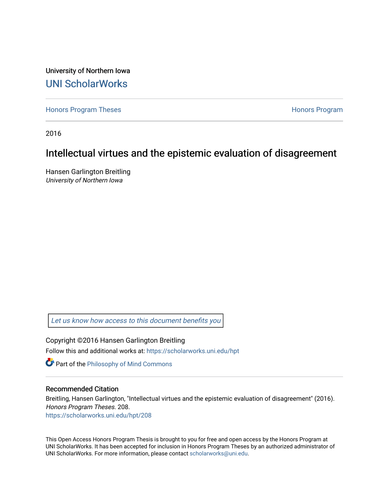University of Northern Iowa [UNI ScholarWorks](https://scholarworks.uni.edu/) 

[Honors Program Theses](https://scholarworks.uni.edu/hpt) **Honors Program** Honors Program

2016

# Intellectual virtues and the epistemic evaluation of disagreement

Hansen Garlington Breitling University of Northern Iowa

[Let us know how access to this document benefits you](https://scholarworks.uni.edu/feedback_form.html) 

Copyright ©2016 Hansen Garlington Breitling Follow this and additional works at: [https://scholarworks.uni.edu/hpt](https://scholarworks.uni.edu/hpt?utm_source=scholarworks.uni.edu%2Fhpt%2F208&utm_medium=PDF&utm_campaign=PDFCoverPages) 

**Part of the [Philosophy of Mind Commons](http://network.bepress.com/hgg/discipline/535?utm_source=scholarworks.uni.edu%2Fhpt%2F208&utm_medium=PDF&utm_campaign=PDFCoverPages)** 

## Recommended Citation

Breitling, Hansen Garlington, "Intellectual virtues and the epistemic evaluation of disagreement" (2016). Honors Program Theses. 208. [https://scholarworks.uni.edu/hpt/208](https://scholarworks.uni.edu/hpt/208?utm_source=scholarworks.uni.edu%2Fhpt%2F208&utm_medium=PDF&utm_campaign=PDFCoverPages) 

This Open Access Honors Program Thesis is brought to you for free and open access by the Honors Program at UNI ScholarWorks. It has been accepted for inclusion in Honors Program Theses by an authorized administrator of UNI ScholarWorks. For more information, please contact [scholarworks@uni.edu.](mailto:scholarworks@uni.edu)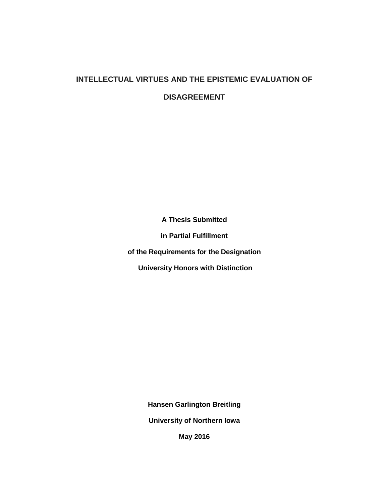## **INTELLECTUAL VIRTUES AND THE EPISTEMIC EVALUATION OF**

**DISAGREEMENT**

**A Thesis Submitted** 

**in Partial Fulfillment** 

**of the Requirements for the Designation**

**University Honors with Distinction** 

**Hansen Garlington Breitling** 

**University of Northern Iowa** 

**May 2016**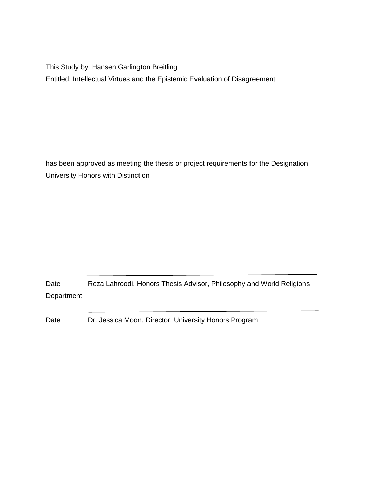This Study by: Hansen Garlington Breitling Entitled: Intellectual Virtues and the Epistemic Evaluation of Disagreement

has been approved as meeting the thesis or project requirements for the Designation University Honors with Distinction

Date Reza Lahroodi, Honors Thesis Advisor, Philosophy and World Religions Department

Date Dr. Jessica Moon, Director, University Honors Program

 $\ddot{\phantom{0}}$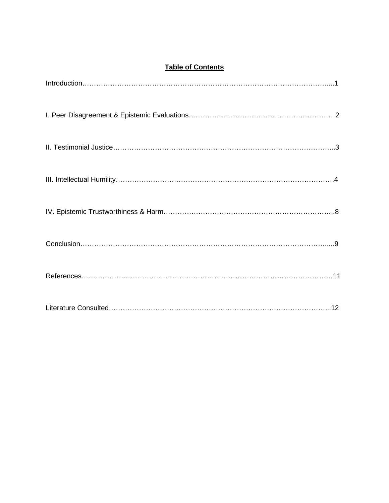## **Table of Contents**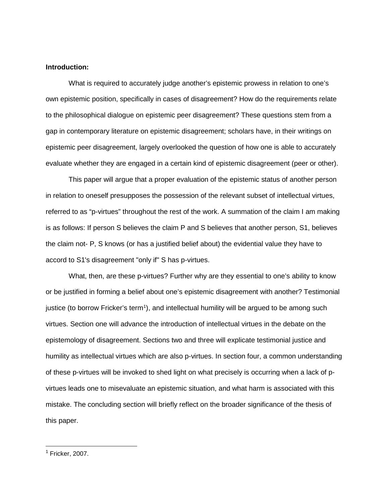## **Introduction:**

What is required to accurately judge another's epistemic prowess in relation to one's own epistemic position, specifically in cases of disagreement? How do the requirements relate to the philosophical dialogue on epistemic peer disagreement? These questions stem from a gap in contemporary literature on epistemic disagreement; scholars have, in their writings on epistemic peer disagreement, largely overlooked the question of how one is able to accurately evaluate whether they are engaged in a certain kind of epistemic disagreement (peer or other).

This paper will argue that a proper evaluation of the epistemic status of another person in relation to oneself presupposes the possession of the relevant subset of intellectual virtues, referred to as "p-virtues" throughout the rest of the work. A summation of the claim I am making is as follows: If person S believes the claim P and S believes that another person, S1, believes the claim not- P, S knows (or has a justified belief about) the evidential value they have to accord to S1's disagreement "only if" S has p-virtues.

What, then, are these p-virtues? Further why are they essential to one's ability to know or be justified in forming a belief about one's epistemic disagreement with another? Testimonial justice (to borrow Fricker's term<sup>[1](#page-4-0)</sup>), and intellectual humility will be argued to be among such virtues. Section one will advance the introduction of intellectual virtues in the debate on the epistemology of disagreement. Sections two and three will explicate testimonial justice and humility as intellectual virtues which are also p-virtues. In section four, a common understanding of these p-virtues will be invoked to shed light on what precisely is occurring when a lack of pvirtues leads one to misevaluate an epistemic situation, and what harm is associated with this mistake. The concluding section will briefly reflect on the broader significance of the thesis of this paper.

<span id="page-4-0"></span> $<sup>1</sup>$  Fricker, 2007.</sup>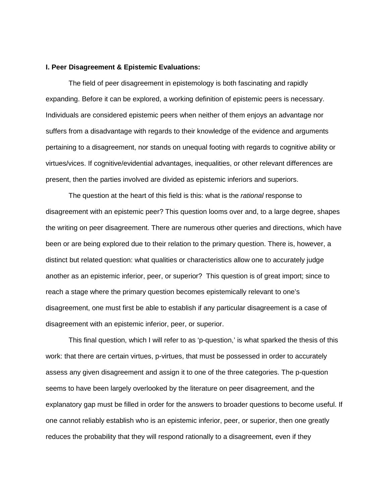#### **I. Peer Disagreement & Epistemic Evaluations:**

The field of peer disagreement in epistemology is both fascinating and rapidly expanding. Before it can be explored, a working definition of epistemic peers is necessary. Individuals are considered epistemic peers when neither of them enjoys an advantage nor suffers from a disadvantage with regards to their knowledge of the evidence and arguments pertaining to a disagreement, nor stands on unequal footing with regards to cognitive ability or virtues/vices. If cognitive/evidential advantages, inequalities, or other relevant differences are present, then the parties involved are divided as epistemic inferiors and superiors.

The question at the heart of this field is this: what is the *rational* response to disagreement with an epistemic peer? This question looms over and, to a large degree, shapes the writing on peer disagreement. There are numerous other queries and directions, which have been or are being explored due to their relation to the primary question. There is, however, a distinct but related question: what qualities or characteristics allow one to accurately judge another as an epistemic inferior, peer, or superior? This question is of great import; since to reach a stage where the primary question becomes epistemically relevant to one's disagreement, one must first be able to establish if any particular disagreement is a case of disagreement with an epistemic inferior, peer, or superior.

This final question, which I will refer to as 'p-question,' is what sparked the thesis of this work: that there are certain virtues, p-virtues, that must be possessed in order to accurately assess any given disagreement and assign it to one of the three categories. The p-question seems to have been largely overlooked by the literature on peer disagreement, and the explanatory gap must be filled in order for the answers to broader questions to become useful. If one cannot reliably establish who is an epistemic inferior, peer, or superior, then one greatly reduces the probability that they will respond rationally to a disagreement, even if they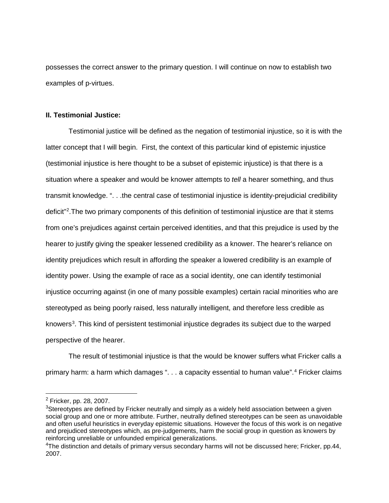possesses the correct answer to the primary question. I will continue on now to establish two examples of p-virtues.

## **II. Testimonial Justice:**

Testimonial justice will be defined as the negation of testimonial injustice, so it is with the latter concept that I will begin. First, the context of this particular kind of epistemic injustice (testimonial injustice is here thought to be a subset of epistemic injustice) is that there is a situation where a speaker and would be knower attempts to *tell* a hearer something, and thus transmit knowledge. ". . .the central case of testimonial injustice is identity-prejudicial credibility deficit"<sup>[2](#page-6-0)</sup>. The two primary components of this definition of testimonial injustice are that it stems from one's prejudices against certain perceived identities, and that this prejudice is used by the hearer to justify giving the speaker lessened credibility as a knower. The hearer's reliance on identity prejudices which result in affording the speaker a lowered credibility is an example of identity power. Using the example of race as a social identity, one can identify testimonial injustice occurring against (in one of many possible examples) certain racial minorities who are stereotyped as being poorly raised, less naturally intelligent, and therefore less credible as knowers<sup>[3](#page-6-1)</sup>. This kind of persistent testimonial injustice degrades its subject due to the warped perspective of the hearer.

The result of testimonial injustice is that the would be knower suffers what Fricker calls a primary harm: a harm which damages ". . . a capacity essential to human value".<sup>[4](#page-6-2)</sup> Fricker claims

 $\ddot{\phantom{a}}$ 

<span id="page-6-0"></span><sup>2</sup> Fricker, pp. 28, 2007.

<span id="page-6-1"></span> $3$ Stereotypes are defined by Fricker neutrally and simply as a widely held association between a given social group and one or more attribute. Further, neutrally defined stereotypes can be seen as unavoidable and often useful heuristics in everyday epistemic situations. However the focus of this work is on negative and prejudiced stereotypes which, as pre-judgements, harm the social group in question as knowers by reinforcing unreliable or unfounded empirical generalizations.

<span id="page-6-2"></span><sup>&</sup>lt;sup>4</sup>The distinction and details of primary versus secondary harms will not be discussed here; Fricker, pp.44, 2007.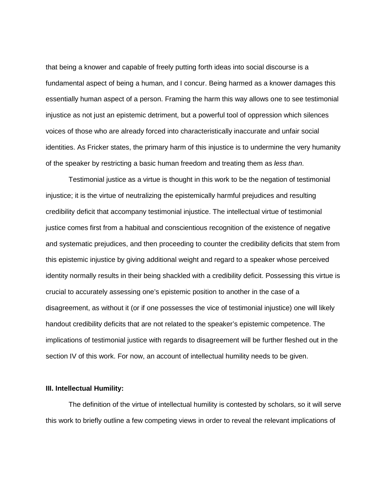that being a knower and capable of freely putting forth ideas into social discourse is a fundamental aspect of being a human, and I concur. Being harmed as a knower damages this essentially human aspect of a person. Framing the harm this way allows one to see testimonial injustice as not just an epistemic detriment, but a powerful tool of oppression which silences voices of those who are already forced into characteristically inaccurate and unfair social identities. As Fricker states, the primary harm of this injustice is to undermine the very humanity of the speaker by restricting a basic human freedom and treating them as *less than*.

Testimonial justice as a virtue is thought in this work to be the negation of testimonial injustice; it is the virtue of neutralizing the epistemically harmful prejudices and resulting credibility deficit that accompany testimonial injustice. The intellectual virtue of testimonial justice comes first from a habitual and conscientious recognition of the existence of negative and systematic prejudices, and then proceeding to counter the credibility deficits that stem from this epistemic injustice by giving additional weight and regard to a speaker whose perceived identity normally results in their being shackled with a credibility deficit. Possessing this virtue is crucial to accurately assessing one's epistemic position to another in the case of a disagreement, as without it (or if one possesses the vice of testimonial injustice) one will likely handout credibility deficits that are not related to the speaker's epistemic competence. The implications of testimonial justice with regards to disagreement will be further fleshed out in the section IV of this work. For now, an account of intellectual humility needs to be given.

## **III. Intellectual Humility:**

The definition of the virtue of intellectual humility is contested by scholars, so it will serve this work to briefly outline a few competing views in order to reveal the relevant implications of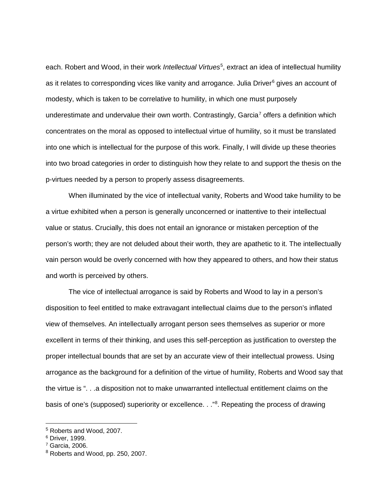each. Robert and Wood, in their work *Intellectual Virtues*<sup>[5](#page-8-0)</sup>, extract an idea of intellectual humility as it relates to corresponding vices like vanity and arrogance. Julia Driver<sup>[6](#page-8-1)</sup> gives an account of modesty, which is taken to be correlative to humility, in which one must purposely underestimate and undervalue their own worth. Contrastingly, Garcia<sup>[7](#page-8-2)</sup> offers a definition which concentrates on the moral as opposed to intellectual virtue of humility, so it must be translated into one which is intellectual for the purpose of this work. Finally, I will divide up these theories into two broad categories in order to distinguish how they relate to and support the thesis on the p-virtues needed by a person to properly assess disagreements.

When illuminated by the vice of intellectual vanity, Roberts and Wood take humility to be a virtue exhibited when a person is generally unconcerned or inattentive to their intellectual value or status. Crucially, this does not entail an ignorance or mistaken perception of the person's worth; they are not deluded about their worth, they are apathetic to it. The intellectually vain person would be overly concerned with how they appeared to others, and how their status and worth is perceived by others.

The vice of intellectual arrogance is said by Roberts and Wood to lay in a person's disposition to feel entitled to make extravagant intellectual claims due to the person's inflated view of themselves. An intellectually arrogant person sees themselves as superior or more excellent in terms of their thinking, and uses this self-perception as justification to overstep the proper intellectual bounds that are set by an accurate view of their intellectual prowess. Using arrogance as the background for a definition of the virtue of humility, Roberts and Wood say that the virtue is ". . .a disposition not to make unwarranted intellectual entitlement claims on the basis of one's (supposed) superiority or excellence. . ."<sup>[8](#page-8-3)</sup>. Repeating the process of drawing

<span id="page-8-0"></span><sup>5</sup> Roberts and Wood, 2007.

<span id="page-8-1"></span><sup>6</sup> Driver, 1999.

<span id="page-8-2"></span><sup>7</sup> Garcia, 2006.

<span id="page-8-3"></span><sup>8</sup> Roberts and Wood, pp. 250, 2007.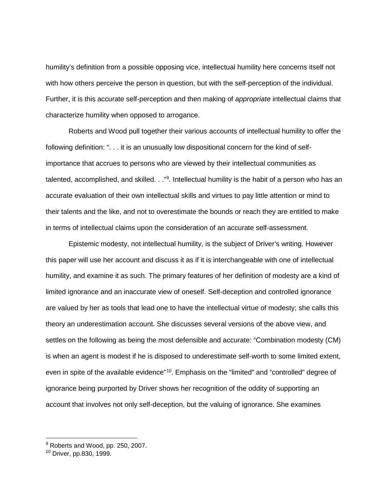humility's definition from a possible opposing vice, intellectual humility here concerns itself not with how others perceive the person in question, but with the self-perception of the individual. Further, it is this accurate self-perception and then making of *appropriate* intellectual claims that characterize humility when opposed to arrogance.

Roberts and Wood pull together their various accounts of intellectual humility to offer the following definition: ". . . it is an unusually low dispositional concern for the kind of selfimportance that accrues to persons who are viewed by their intellectual communities as talented, accomplished, and skilled. . ."<sup>[9](#page-9-0)</sup>. Intellectual humility is the habit of a person who has an accurate evaluation of their own intellectual skills and virtues to pay little attention or mind to their talents and the like, and not to overestimate the bounds or reach they are entitled to make in terms of intellectual claims upon the consideration of an accurate self-assessment.

Epistemic modesty, not intellectual humility, is the subject of Driver's writing. However this paper will use her account and discuss it as if it is interchangeable with one of intellectual humility, and examine it as such. The primary features of her definition of modesty are a kind of limited ignorance and an inaccurate view of oneself. Self-deception and controlled ignorance are valued by her as tools that lead one to have the intellectual virtue of modesty; she calls this theory an underestimation account. She discusses several versions of the above view, and settles on the following as being the most defensible and accurate: "Combination modesty (CM) is when an agent is modest if he is disposed to underestimate self-worth to some limited extent, even in spite of the available evidence"<sup>10</sup>. Emphasis on the "limited" and "controlled" degree of ignorance being purported by Driver shows her recognition of the oddity of supporting an account that involves not only self-deception, but the valuing of ignorance. She examines

 $\ddot{\phantom{a}}$ 

<span id="page-9-0"></span><sup>&</sup>lt;sup>9</sup> Roberts and Wood, pp. 250, 2007.

<span id="page-9-1"></span><sup>10</sup> Driver, pp.830, 1999.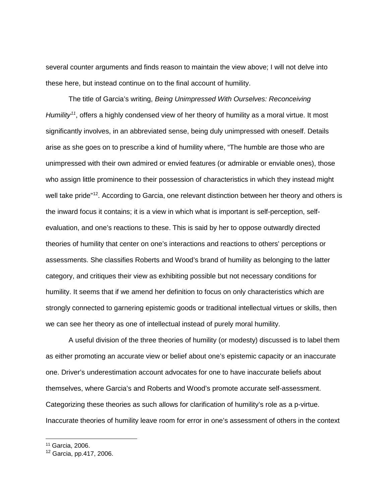several counter arguments and finds reason to maintain the view above; I will not delve into these here, but instead continue on to the final account of humility.

The title of Garcia's writing, *Being Unimpressed With Ourselves: Reconceiving Humility<sup>[11](#page-10-0)</sup>*, offers a highly condensed view of her theory of humility as a moral virtue. It most significantly involves, in an abbreviated sense, being duly unimpressed with oneself. Details arise as she goes on to prescribe a kind of humility where, "The humble are those who are unimpressed with their own admired or envied features (or admirable or enviable ones), those who assign little prominence to their possession of characteristics in which they instead might well take pride"<sup>[12](#page-10-1)</sup>. According to Garcia, one relevant distinction between her theory and others is the inward focus it contains; it is a view in which what is important is self-perception, selfevaluation, and one's reactions to these. This is said by her to oppose outwardly directed theories of humility that center on one's interactions and reactions to others' perceptions or assessments. She classifies Roberts and Wood's brand of humility as belonging to the latter category, and critiques their view as exhibiting possible but not necessary conditions for humility. It seems that if we amend her definition to focus on only characteristics which are strongly connected to garnering epistemic goods or traditional intellectual virtues or skills, then we can see her theory as one of intellectual instead of purely moral humility.

A useful division of the three theories of humility (or modesty) discussed is to label them as either promoting an accurate view or belief about one's epistemic capacity or an inaccurate one. Driver's underestimation account advocates for one to have inaccurate beliefs about themselves, where Garcia's and Roberts and Wood's promote accurate self-assessment. Categorizing these theories as such allows for clarification of humility's role as a p-virtue. Inaccurate theories of humility leave room for error in one's assessment of others in the context

 $\ddot{\phantom{a}}$ 

<span id="page-10-0"></span><sup>11</sup> Garcia, 2006.

<span id="page-10-1"></span><sup>12</sup> Garcia, pp.417, 2006.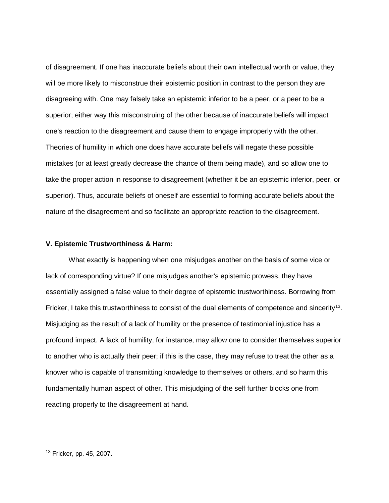of disagreement. If one has inaccurate beliefs about their own intellectual worth or value, they will be more likely to misconstrue their epistemic position in contrast to the person they are disagreeing with. One may falsely take an epistemic inferior to be a peer, or a peer to be a superior; either way this misconstruing of the other because of inaccurate beliefs will impact one's reaction to the disagreement and cause them to engage improperly with the other. Theories of humility in which one does have accurate beliefs will negate these possible mistakes (or at least greatly decrease the chance of them being made), and so allow one to take the proper action in response to disagreement (whether it be an epistemic inferior, peer, or superior). Thus, accurate beliefs of oneself are essential to forming accurate beliefs about the nature of the disagreement and so facilitate an appropriate reaction to the disagreement.

## **V. Epistemic Trustworthiness & Harm:**

What exactly is happening when one misjudges another on the basis of some vice or lack of corresponding virtue? If one misjudges another's epistemic prowess, they have essentially assigned a false value to their degree of epistemic trustworthiness. Borrowing from Fricker, I take this trustworthiness to consist of the dual elements of competence and sincerity<sup>13</sup>. Misjudging as the result of a lack of humility or the presence of testimonial injustice has a profound impact. A lack of humility, for instance, may allow one to consider themselves superior to another who is actually their peer; if this is the case, they may refuse to treat the other as a knower who is capable of transmitting knowledge to themselves or others, and so harm this fundamentally human aspect of other. This misjudging of the self further blocks one from reacting properly to the disagreement at hand.

<span id="page-11-0"></span><sup>&</sup>lt;sup>13</sup> Fricker, pp. 45, 2007.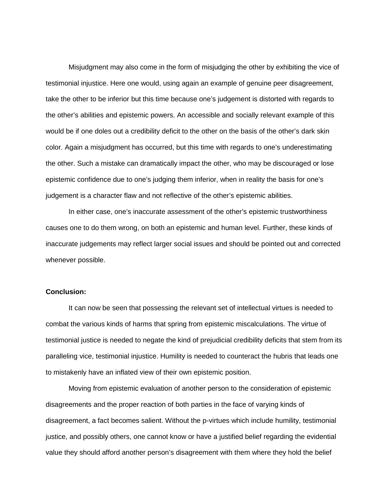Misjudgment may also come in the form of misjudging the other by exhibiting the vice of testimonial injustice. Here one would, using again an example of genuine peer disagreement, take the other to be inferior but this time because one's judgement is distorted with regards to the other's abilities and epistemic powers. An accessible and socially relevant example of this would be if one doles out a credibility deficit to the other on the basis of the other's dark skin color. Again a misjudgment has occurred, but this time with regards to one's underestimating the other. Such a mistake can dramatically impact the other, who may be discouraged or lose epistemic confidence due to one's judging them inferior, when in reality the basis for one's judgement is a character flaw and not reflective of the other's epistemic abilities.

In either case, one's inaccurate assessment of the other's epistemic trustworthiness causes one to do them wrong, on both an epistemic and human level. Further, these kinds of inaccurate judgements may reflect larger social issues and should be pointed out and corrected whenever possible.

## **Conclusion:**

It can now be seen that possessing the relevant set of intellectual virtues is needed to combat the various kinds of harms that spring from epistemic miscalculations. The virtue of testimonial justice is needed to negate the kind of prejudicial credibility deficits that stem from its paralleling vice, testimonial injustice. Humility is needed to counteract the hubris that leads one to mistakenly have an inflated view of their own epistemic position.

Moving from epistemic evaluation of another person to the consideration of epistemic disagreements and the proper reaction of both parties in the face of varying kinds of disagreement, a fact becomes salient. Without the p-virtues which include humility, testimonial justice, and possibly others, one cannot know or have a justified belief regarding the evidential value they should afford another person's disagreement with them where they hold the belief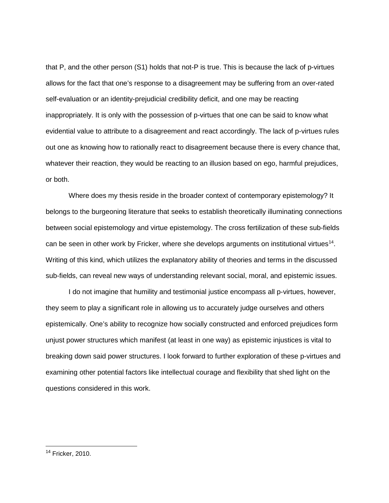that P, and the other person (S1) holds that not-P is true. This is because the lack of p-virtues allows for the fact that one's response to a disagreement may be suffering from an over-rated self-evaluation or an identity-prejudicial credibility deficit, and one may be reacting inappropriately. It is only with the possession of p-virtues that one can be said to know what evidential value to attribute to a disagreement and react accordingly. The lack of p-virtues rules out one as knowing how to rationally react to disagreement because there is every chance that, whatever their reaction, they would be reacting to an illusion based on ego, harmful prejudices, or both.

Where does my thesis reside in the broader context of contemporary epistemology? It belongs to the burgeoning literature that seeks to establish theoretically illuminating connections between social epistemology and virtue epistemology. The cross fertilization of these sub-fields can be seen in other work by Fricker, where she develops arguments on institutional virtues<sup>[14](#page-13-0)</sup>. Writing of this kind, which utilizes the explanatory ability of theories and terms in the discussed sub-fields, can reveal new ways of understanding relevant social, moral, and epistemic issues.

I do not imagine that humility and testimonial justice encompass all p-virtues, however, they seem to play a significant role in allowing us to accurately judge ourselves and others epistemically. One's ability to recognize how socially constructed and enforced prejudices form unjust power structures which manifest (at least in one way) as epistemic injustices is vital to breaking down said power structures. I look forward to further exploration of these p-virtues and examining other potential factors like intellectual courage and flexibility that shed light on the questions considered in this work.

<span id="page-13-0"></span><sup>14</sup> Fricker, 2010.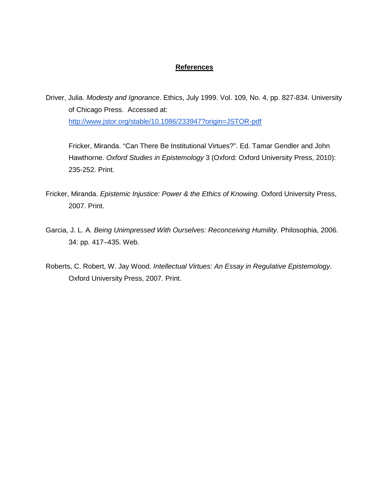## **References**

Driver, Julia. *Modesty and Ignorance*. Ethics, July 1999. Vol. 109, No. 4, pp. 827-834. University of Chicago Press. Accessed at: <http://www.jstor.org/stable/10.1086/233947?origin=JSTOR-pdf>

Fricker, Miranda. "Can There Be Institutional Virtues?". Ed. Tamar Gendler and John Hawthorne. *Oxford Studies in Epistemology* 3 (Oxford: Oxford University Press, 2010): 235-252. Print.

- Fricker, Miranda. *Epistemic Injustice: Power & the Ethics of Knowing*. Oxford University Press, 2007. Print.
- Garcia, J. L. A. *Being Unimpressed With Ourselves: Reconceiving Humility*. Philosophia, 2006. 34: pp. 417–435. Web.
- Roberts, C. Robert, W. Jay Wood. *Intellectual Virtues: An Essay in Regulative Epistemology*. Oxford University Press, 2007. Print.